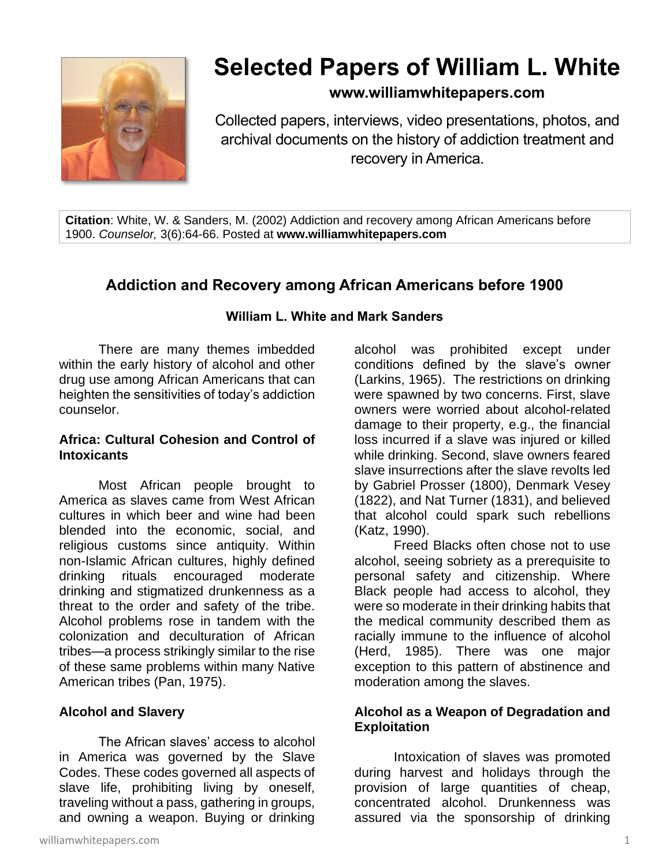

# **Selected Papers of William L. White**

# **www.williamwhitepapers.com**

Collected papers, interviews, video presentations, photos, and archival documents on the history of addiction treatment and recovery in America.

**Citation**: White, W. & Sanders, M. (2002) Addiction and recovery among African Americans before 1900. *Counselor,* 3(6):64-66. Posted at **www.williamwhitepapers.com**

# **Addiction and Recovery among African Americans before 1900**

#### **William L. White and Mark Sanders**

There are many themes imbedded within the early history of alcohol and other drug use among African Americans that can heighten the sensitivities of today's addiction counselor.

#### **Africa: Cultural Cohesion and Control of Intoxicants**

Most African people brought to America as slaves came from West African cultures in which beer and wine had been blended into the economic, social, and religious customs since antiquity. Within non-Islamic African cultures, highly defined drinking rituals encouraged moderate drinking and stigmatized drunkenness as a threat to the order and safety of the tribe. Alcohol problems rose in tandem with the colonization and deculturation of African tribes—a process strikingly similar to the rise of these same problems within many Native American tribes (Pan, 1975).

# **Alcohol and Slavery**

The African slaves' access to alcohol in America was governed by the Slave Codes. These codes governed all aspects of slave life, prohibiting living by oneself, traveling without a pass, gathering in groups, and owning a weapon. Buying or drinking

alcohol was prohibited except under conditions defined by the slave's owner (Larkins, 1965). The restrictions on drinking were spawned by two concerns. First, slave owners were worried about alcohol-related damage to their property, e.g., the financial loss incurred if a slave was injured or killed while drinking. Second, slave owners feared slave insurrections after the slave revolts led by Gabriel Prosser (1800), Denmark Vesey (1822), and Nat Turner (1831), and believed that alcohol could spark such rebellions (Katz, 1990).

Freed Blacks often chose not to use alcohol, seeing sobriety as a prerequisite to personal safety and citizenship. Where Black people had access to alcohol, they were so moderate in their drinking habits that the medical community described them as racially immune to the influence of alcohol (Herd, 1985). There was one major exception to this pattern of abstinence and moderation among the slaves.

#### **Alcohol as a Weapon of Degradation and Exploitation**

Intoxication of slaves was promoted during harvest and holidays through the provision of large quantities of cheap, concentrated alcohol. Drunkenness was assured via the sponsorship of drinking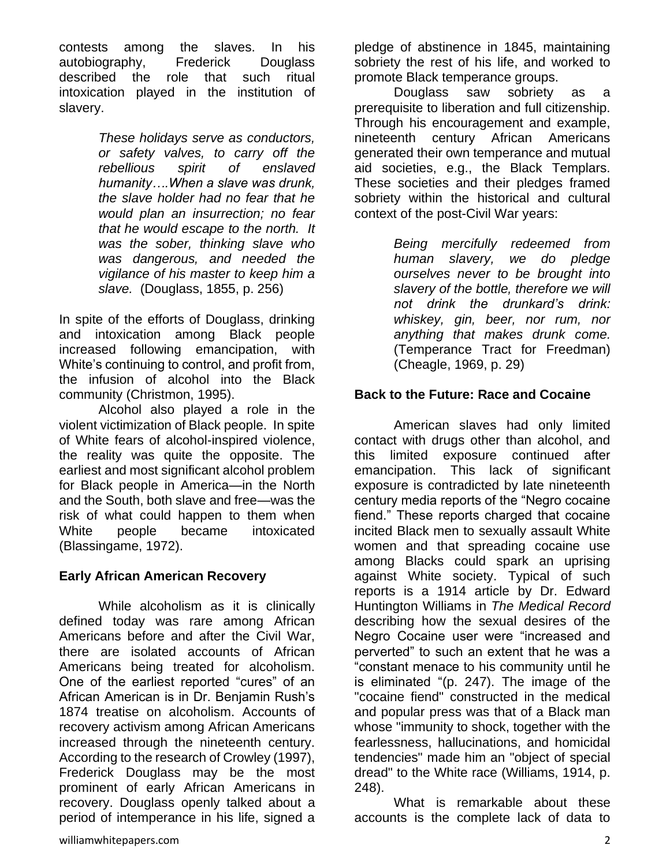contests among the slaves. In his autobiography, Frederick Douglass described the role that such ritual intoxication played in the institution of slavery.

> *These holidays serve as conductors, or safety valves, to carry off the rebellious spirit of enslaved humanity….When a slave was drunk, the slave holder had no fear that he would plan an insurrection; no fear that he would escape to the north. It was the sober, thinking slave who was dangerous, and needed the vigilance of his master to keep him a slave.* (Douglass, 1855, p. 256)

In spite of the efforts of Douglass, drinking and intoxication among Black people increased following emancipation, with White's continuing to control, and profit from, the infusion of alcohol into the Black community (Christmon, 1995).

Alcohol also played a role in the violent victimization of Black people. In spite of White fears of alcohol-inspired violence, the reality was quite the opposite. The earliest and most significant alcohol problem for Black people in America—in the North and the South, both slave and free—was the risk of what could happen to them when White people became intoxicated (Blassingame, 1972).

# **Early African American Recovery**

While alcoholism as it is clinically defined today was rare among African Americans before and after the Civil War, there are isolated accounts of African Americans being treated for alcoholism. One of the earliest reported "cures" of an African American is in Dr. Benjamin Rush's 1874 treatise on alcoholism. Accounts of recovery activism among African Americans increased through the nineteenth century. According to the research of Crowley (1997), Frederick Douglass may be the most prominent of early African Americans in recovery. Douglass openly talked about a period of intemperance in his life, signed a pledge of abstinence in 1845, maintaining sobriety the rest of his life, and worked to promote Black temperance groups.

Douglass saw sobriety as a prerequisite to liberation and full citizenship. Through his encouragement and example, nineteenth century African Americans generated their own temperance and mutual aid societies, e.g., the Black Templars. These societies and their pledges framed sobriety within the historical and cultural context of the post-Civil War years:

> *Being mercifully redeemed from human slavery, we do pledge ourselves never to be brought into slavery of the bottle, therefore we will not drink the drunkard's drink: whiskey, gin, beer, nor rum, nor anything that makes drunk come.*  (Temperance Tract for Freedman) (Cheagle, 1969, p. 29)

## **Back to the Future: Race and Cocaine**

American slaves had only limited contact with drugs other than alcohol, and this limited exposure continued after emancipation. This lack of significant exposure is contradicted by late nineteenth century media reports of the "Negro cocaine fiend." These reports charged that cocaine incited Black men to sexually assault White women and that spreading cocaine use among Blacks could spark an uprising against White society. Typical of such reports is a 1914 article by Dr. Edward Huntington Williams in *The Medical Record* describing how the sexual desires of the Negro Cocaine user were "increased and perverted" to such an extent that he was a "constant menace to his community until he is eliminated "(p. 247). The image of the "cocaine fiend" constructed in the medical and popular press was that of a Black man whose "immunity to shock, together with the fearlessness, hallucinations, and homicidal tendencies" made him an "object of special dread" to the White race (Williams, 1914, p. 248).

What is remarkable about these accounts is the complete lack of data to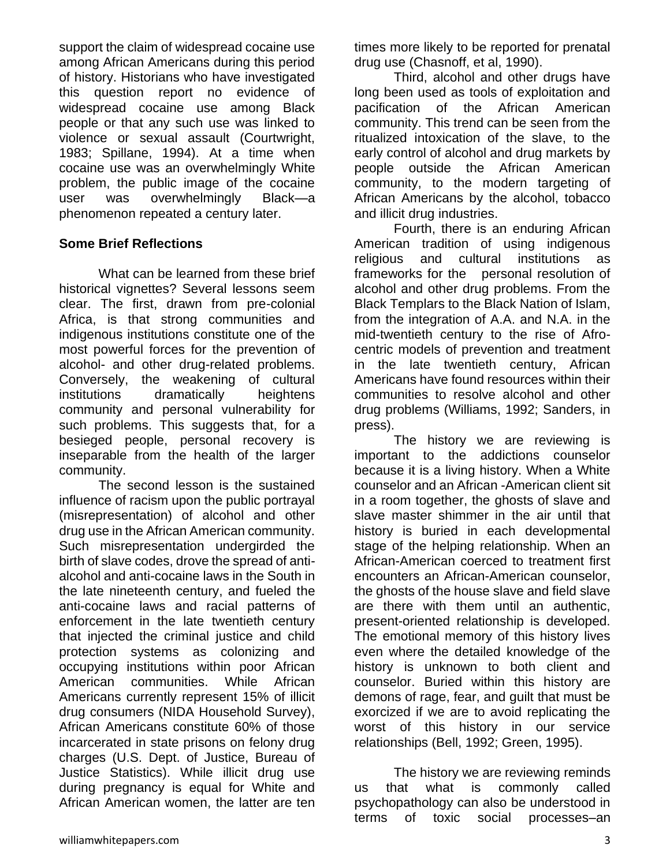support the claim of widespread cocaine use among African Americans during this period of history. Historians who have investigated this question report no evidence of widespread cocaine use among Black people or that any such use was linked to violence or sexual assault (Courtwright, 1983; Spillane, 1994). At a time when cocaine use was an overwhelmingly White problem, the public image of the cocaine user was overwhelmingly Black—a phenomenon repeated a century later.

## **Some Brief Reflections**

What can be learned from these brief historical vignettes? Several lessons seem clear. The first, drawn from pre-colonial Africa, is that strong communities and indigenous institutions constitute one of the most powerful forces for the prevention of alcohol- and other drug-related problems. Conversely, the weakening of cultural institutions dramatically heightens community and personal vulnerability for such problems. This suggests that, for a besieged people, personal recovery is inseparable from the health of the larger community.

The second lesson is the sustained influence of racism upon the public portrayal (misrepresentation) of alcohol and other drug use in the African American community. Such misrepresentation undergirded the birth of slave codes, drove the spread of antialcohol and anti-cocaine laws in the South in the late nineteenth century, and fueled the anti-cocaine laws and racial patterns of enforcement in the late twentieth century that injected the criminal justice and child protection systems as colonizing and occupying institutions within poor African American communities. While African Americans currently represent 15% of illicit drug consumers (NIDA Household Survey), African Americans constitute 60% of those incarcerated in state prisons on felony drug charges (U.S. Dept. of Justice, Bureau of Justice Statistics). While illicit drug use during pregnancy is equal for White and African American women, the latter are ten

times more likely to be reported for prenatal drug use (Chasnoff, et al, 1990).

Third, alcohol and other drugs have long been used as tools of exploitation and pacification of the African American community. This trend can be seen from the ritualized intoxication of the slave, to the early control of alcohol and drug markets by people outside the African American community, to the modern targeting of African Americans by the alcohol, tobacco and illicit drug industries.

Fourth, there is an enduring African American tradition of using indigenous religious and cultural institutions as frameworks for the personal resolution of alcohol and other drug problems. From the Black Templars to the Black Nation of Islam, from the integration of A.A. and N.A. in the mid-twentieth century to the rise of Afrocentric models of prevention and treatment in the late twentieth century, African Americans have found resources within their communities to resolve alcohol and other drug problems (Williams, 1992; Sanders, in press).

The history we are reviewing is important to the addictions counselor because it is a living history. When a White counselor and an African -American client sit in a room together, the ghosts of slave and slave master shimmer in the air until that history is buried in each developmental stage of the helping relationship. When an African-American coerced to treatment first encounters an African-American counselor, the ghosts of the house slave and field slave are there with them until an authentic, present-oriented relationship is developed. The emotional memory of this history lives even where the detailed knowledge of the history is unknown to both client and counselor. Buried within this history are demons of rage, fear, and guilt that must be exorcized if we are to avoid replicating the worst of this history in our service relationships (Bell, 1992; Green, 1995).

The history we are reviewing reminds us that what is commonly called psychopathology can also be understood in terms of toxic social processes–an